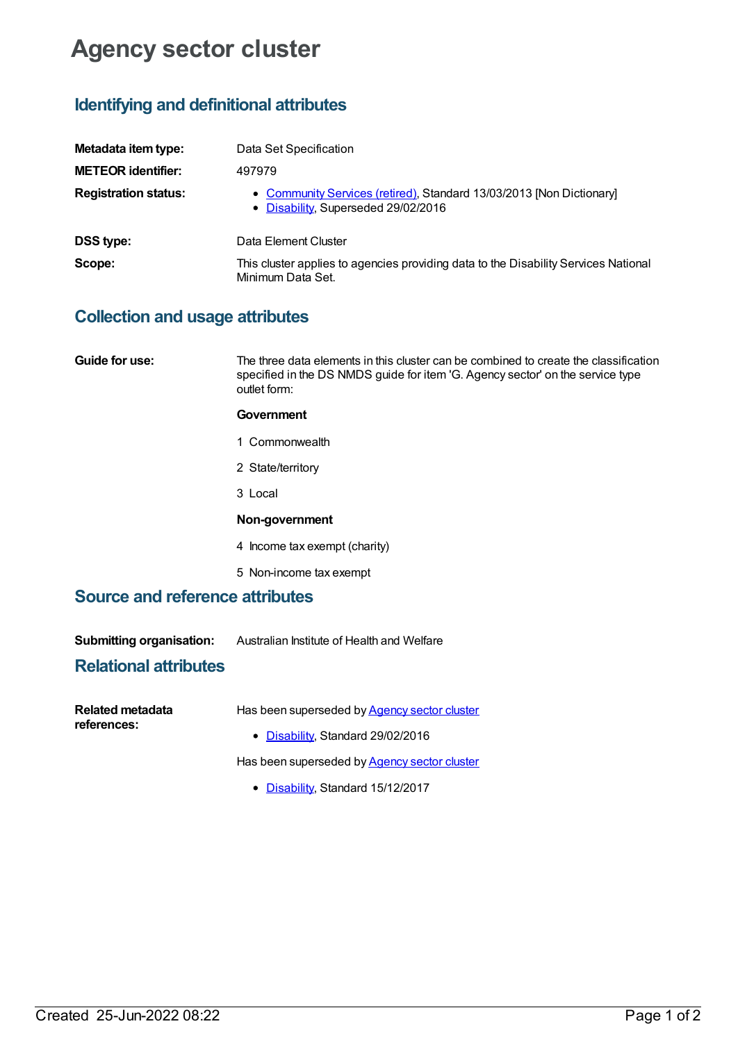# **Agency sector cluster**

## **Identifying and definitional attributes**

| Metadata item type:         | Data Set Specification                                                                                      |  |
|-----------------------------|-------------------------------------------------------------------------------------------------------------|--|
| <b>METEOR identifier:</b>   | 497979                                                                                                      |  |
| <b>Registration status:</b> | • Community Services (retired), Standard 13/03/2013 [Non Dictionary]<br>• Disability, Superseded 29/02/2016 |  |
| <b>DSS type:</b>            | Data Element Cluster                                                                                        |  |
| Scope:                      | This cluster applies to agencies providing data to the Disability Services National<br>Minimum Data Set.    |  |

# **Collection and usage attributes**

| Guide for use:                         | The three data elements in this cluster can be combined to create the classification<br>specified in the DS NMDS guide for item 'G. Agency sector' on the service type<br>outlet form: |  |
|----------------------------------------|----------------------------------------------------------------------------------------------------------------------------------------------------------------------------------------|--|
|                                        | Government                                                                                                                                                                             |  |
|                                        | 1 Commonwealth                                                                                                                                                                         |  |
|                                        | 2 State/territory                                                                                                                                                                      |  |
|                                        | 3 Local                                                                                                                                                                                |  |
|                                        | Non-government                                                                                                                                                                         |  |
|                                        | 4 Income tax exempt (charity)                                                                                                                                                          |  |
|                                        | 5 Non-income tax exempt                                                                                                                                                                |  |
| <b>Source and reference attributes</b> |                                                                                                                                                                                        |  |
|                                        |                                                                                                                                                                                        |  |
| <b>Submitting organisation:</b>        | Australian Institute of Health and Welfare                                                                                                                                             |  |

### **Relational attributes**

| Related metadata | Has been superseded by <b>Agency sector cluster</b> |
|------------------|-----------------------------------------------------|
| references:      | • Disability, Standard 29/02/2016                   |
|                  | Has been superseded by Agency sector cluster        |
|                  |                                                     |

• [Disability](https://meteor.aihw.gov.au/RegistrationAuthority/16), Standard 15/12/2017